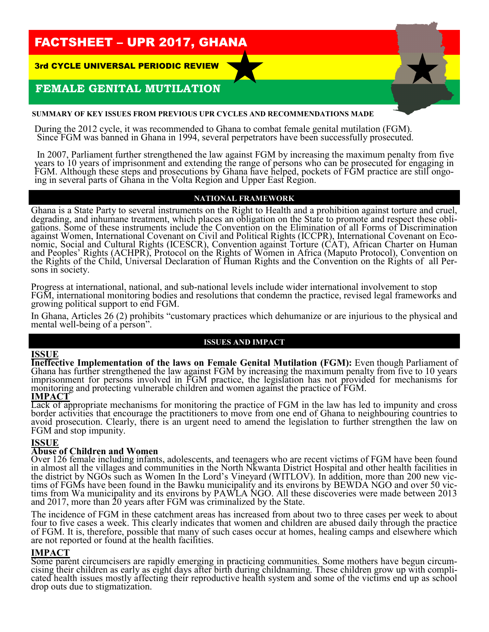# FACTSHEET – UPR 2017, GHANA

3rd CYCLE UNIVERSAL PERIODIC REVIEW

# **FEMALE GENITAL MUTILATION**

#### **SUMMARY OF KEY ISSUES FROM PREVIOUS UPR CYCLES AND RECOMMENDATIONS MADE**

During the 2012 cycle, it was recommended to Ghana to combat female genital mutilation (FGM). Since FGM was banned in Ghana in 1994, several perpetrators have been successfully prosecuted.

In 2007, Parliament further strengthened the law against FGM by increasing the maximum penalty from five years to 10 years of imprisonment and extending the range of persons who can be prosecuted for engaging in FGM. Although these steps and prosecutions by Ghana have helped, pockets of FGM practice are still ongoing in several parts of Ghana in the Volta Region and Upper East Region.

#### **NATIONAL FRAMEWORK**

Ghana is a State Party to several instruments on the Right to Health and a prohibition against torture and cruel, degrading, and inhumane treatment, which places an obligation on the State to promote and respect these obligations. Some of these instruments include the Convention on the Elimination of all Forms of Discrimination against Women, International Covenant on Civil and Political Rights (ICCPR), International Covenant on Economic, Social and Cultural Rights (ICESCR), Convention against Torture (CAT), African Charter on Human and Peoples' Rights (ACHPR), Protocol on the Rights of Women in Africa (Maputo Protocol), Convention on the Rights of the Child, Universal Declaration of Human Rights and the Convention on the Rights of all Persons in society.

Progress at international, national, and sub-national levels include wider international involvement to stop FGM, international monitoring bodies and resolutions that condemn the practice, revised legal frameworks and growing political support to end FGM.

In Ghana, Articles 26 (2) prohibits "customary practices which dehumanize or are injurious to the physical and mental well-being of a person".

#### **ISSUES AND IMPACT**

#### **ISSUE**

**Ineffective Implementation of the laws on Female Genital Mutilation (FGM):** Even though Parliament of Ghana has further strengthened the law against FGM by increasing the maximum penalty from five to 10 years imprisonment for persons involved in FGM practice, the legislation has not provided for mechanisms for monitoring and protecting vulnerable children and women against the practice of FGM.

#### **IMPACT**

Lack of appropriate mechanisms for monitoring the practice of FGM in the law has led to impunity and cross border activities that encourage the practitioners to move from one end of Ghana to neighbouring countries to avoid prosecution. Clearly, there is an urgent need to amend the legislation to further strengthen the law on FGM and stop impunity.

#### **ISSUE**

#### **Abuse of Children and Women**

Over 126 female including infants, adolescents, and teenagers who are recent victims of FGM have been found in almost all the villages and communities in the North Nkwanta District Hospital and other health facilities in the district by NGOs such as Women In the Lord's Vineyard (WITLOV). In addition, more than 200 new victims of FGMs have been found in the Bawku municipality and its environs by BEWDA NGO and over 50 victims from Wa municipality and its environs by PAWLA NGO. All these discoveries were made between 2013 and 2017, more than 20 years after FGM was criminalized by the State.

The incidence of FGM in these catchment areas has increased from about two to three cases per week to about four to five cases a week. This clearly indicates that women and children are abused daily through the practice of FGM. It is, therefore, possible that many of such cases occur at homes, healing camps and elsewhere which are not reported or found at the health facilities.

#### **IMPACT**

Some parent circumcisers are rapidly emerging in practicing communities. Some mothers have begun circumcising their children as early as eight days after birth during childnaming. These children grow up with complicated health issues mostly affecting their reproductive health system and some of the victims end up as school drop outs due to stigmatization.